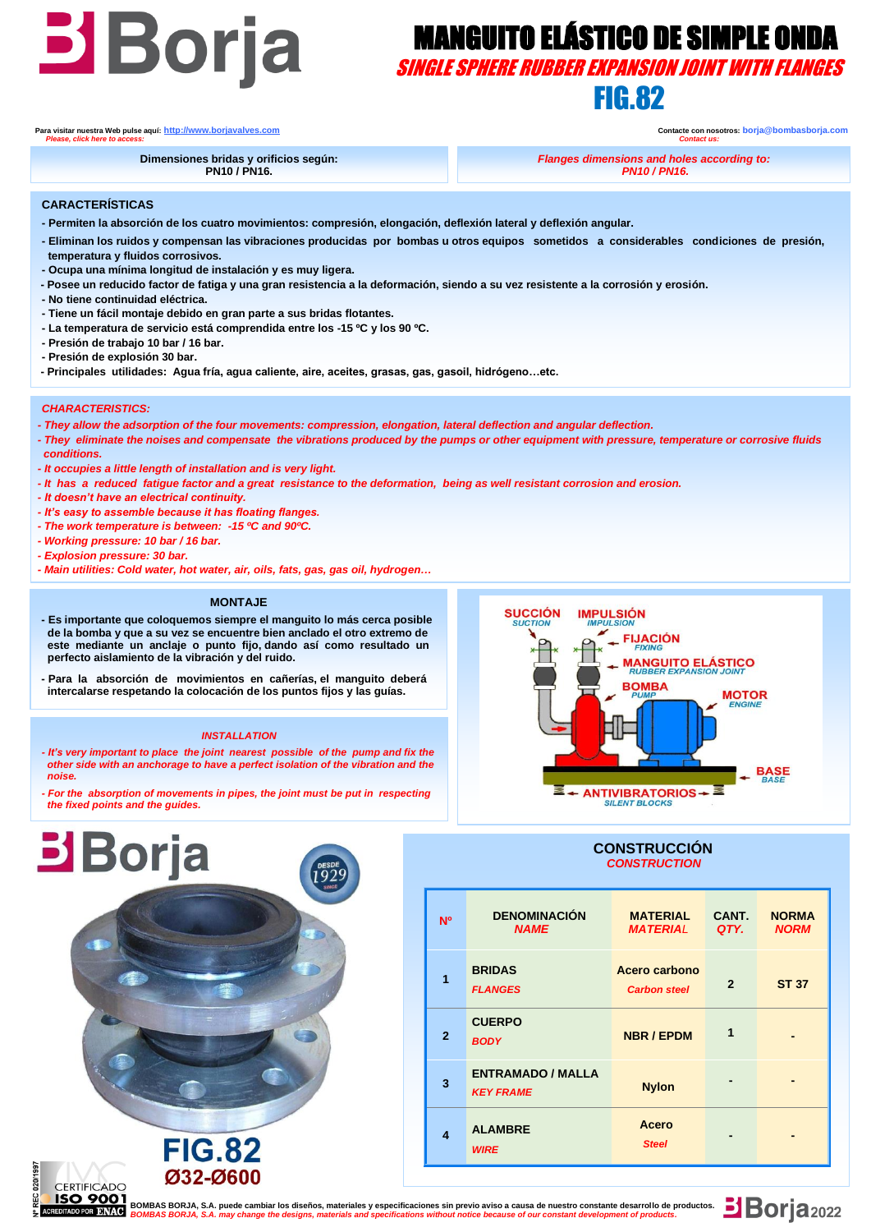# **BOYER MANGUITO ELÁSTICO DE SIMPLE ONDA**<br>SINGLE SPHERE RUBBER EXPANSION JOINT WITH FLANGES

SINGLE SPHERE RUBBER EXPANSION JOINT WITH FLANGES

# FIG.82

**Para visitar nuestra Web pulse aquí: [http://www.borjavalves.com](http://www.borjavalves.com/) Contacte con nosotros: borja@bombasborja.com**  *Please, click here to access: Contact us:* 

**Dimensiones bridas y orificios según: PN10 / PN16.**

*Flanges dimensions and holes according to: PN10 / PN16.*

**CARACTERÍSTICAS**

- **- Permiten la absorción de los cuatro movimientos: compresión, elongación, deflexión lateral y deflexión angular.**
- **- Eliminan los ruidos y compensan las vibraciones producidas por bombas u otros equipos sometidos a considerables condiciones de presión, temperatura y fluidos corrosivos.**
- **- Ocupa una mínima longitud de instalación y es muy ligera.**
- **- Posee un reducido factor de fatiga y una gran resistencia a la deformación, siendo a su vez resistente a la corrosión y erosión.**
- **- No tiene continuidad eléctrica.**
- **- Tiene un fácil montaje debido en gran parte a sus bridas flotantes.**
- **- La temperatura de servicio está comprendida entre los -15 ºC y los 90 ºC.**
- **- Presión de trabajo 10 bar / 16 bar.**
- **- Presión de explosión 30 bar.**
- **- Principales utilidades: Agua fría, agua caliente, aire, aceites, grasas, gas, gasoil, hidrógeno…etc.**

#### *CHARACTERISTICS:*

- *- They allow the adsorption of the four movements: compression, elongation, lateral deflection and angular deflection.*
- *- They eliminate the noises and compensate the vibrations produced by the pumps or other equipment with pressure, temperature or corrosive fluids conditions.*
- *- It occupies a little length of installation and is very light.*
- *- It has a reduced fatigue factor and a great resistance to the deformation, being as well resistant corrosion and erosion.*
- *- It doesn't have an electrical continuity.*
- *- It's easy to assemble because it has floating flanges.*
- *- The work temperature is between: -15 ºC and 90ºC.*
- *- Working pressure: 10 bar / 16 bar.*
- *- Explosion pressure: 30 bar.*

**Borja** 

noc

**CERTIFICADO** 

*- Main utilities: Cold water, hot water, air, oils, fats, gas, gas oil, hydrogen…*

#### **MONTAJE**

- **- Es importante que coloquemos siempre el manguito lo más cerca posible de la bomba y que a su vez se encuentre bien anclado el otro extremo de este mediante un anclaje o punto fijo, dando así como resultado un perfecto aislamiento de la vibración y del ruido.**
- **- Para la absorción de movimientos en cañerías, el manguito deberá intercalarse respetando la colocación de los puntos fijos y las guías.**

#### *INSTALLATION*

- *- It's very important to place the joint nearest possible of the pump and fix the other side with an anchorage to have a perfect isolation of the vibration and the noise.*
- *- For the absorption of movements in pipes, the joint must be put in respecting the fixed points and the guides.*

**FIG.82** Ø32-Ø600



#### **CONSTRUCCIÓN**  *CONSTRUCTION*

| N <sup>o</sup> | <b>DENOMINACIÓN</b><br><b>NAME</b>           | <b>MATERIAL</b><br><b>MATERIAL</b>   | CANT.<br>QTY.  | <b>NORMA</b><br><b>NORM</b> |
|----------------|----------------------------------------------|--------------------------------------|----------------|-----------------------------|
| 1              | <b>BRIDAS</b><br><b>FLANGES</b>              | Acero carbono<br><b>Carbon steel</b> | $\overline{2}$ | <b>ST 37</b>                |
| $\mathbf{2}$   | <b>CUERPO</b><br><b>BODY</b>                 | <b>NBR / EPDM</b>                    | 1              |                             |
| 3              | <b>ENTRAMADO / MALLA</b><br><b>KEY FRAME</b> | <b>Nylon</b>                         |                |                             |
| 4              | <b>ALAMBRE</b><br><b>WIRE</b>                | Acero<br><b>Steel</b>                |                |                             |